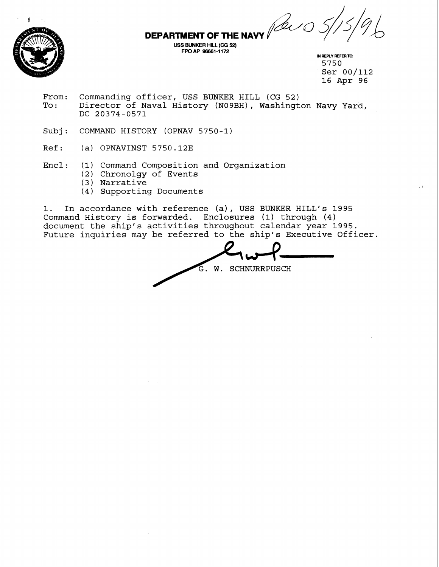**DEPARTMENT OF THE NAVY** 



**FPOAP 96661-1 172 M REPLY REFER** TO: 5750 Ser 00/112 16 Apr 96

÷,

From: Commanding officer, USS BUNKER HILL (CG 52)<br>To: Director of Naval History (N09BH), Washingt Director of Naval History (NO9BH), Washington Navy Yard, DC 20374-0571

**USS BUNKER HILL (CG 52)** 

- Subj: COMMAND HISTORY (OPNAV 5750-1)
- Ref: (a) OPNAVINST 5750.12E
- Encl: (1) Command Composition and Organization
	- (2) Chronolgy of Events
	- ( 3 ) Narrative
	- (4) Supporting Documents

1. In accordance with reference (a), USS BUNKER HILL'S 1995 Command History is forwarded. Enclosures (1) through **(4)**  document the ship's activities throughout calendar year 1995. Future inquiries may be referred to the ship's Executive Officer.

mposition and Organization<br>
of Events<br>
Documents<br>
h reference (a), USS BUNKER HILL's 1995<br>
rwarded. Enclosures (1) through (4)<br>
ctivities throughout calendar year 1995.<br>
be referred to the ship's Executive Officer.<br>
G. W.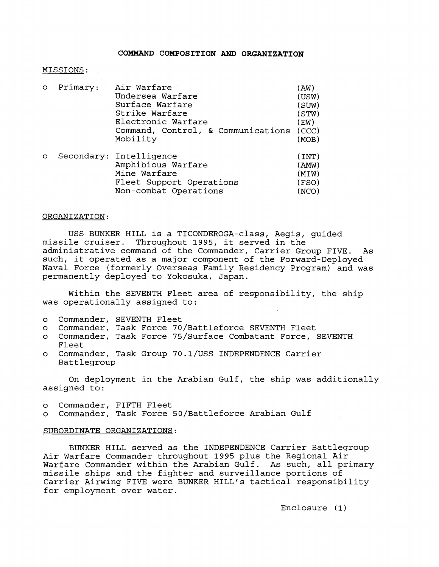## **COMMAND COMPOSITION AND ORGANIZATION**

#### MISSIONS :

| $\circ$ | Primary: | Air Warfare                              | (AW)  |
|---------|----------|------------------------------------------|-------|
|         |          | Undersea Warfare                         | (USW) |
|         |          | Surface Warfare                          | (SUW) |
|         |          | Strike Warfare                           | (STW) |
|         |          | Electronic Warfare                       | (EW)  |
|         |          | Command, Control, & Communications (CCC) |       |
|         |          | Mobility                                 | (MOB) |
| $\circ$ |          | Secondary: Intelligence                  | (INT) |
|         |          | Amphibious Warfare                       | (AMW) |
|         |          | Mine Warfare                             | (MIW) |
|         |          | Fleet Support Operations                 | (FSO) |
|         |          | Non-combat Operations                    | (NCO) |

#### ORGANIZATION:

USS BUNKER HILL is a TICONDEROGA-class, Aegis, guided missile cruiser. Throughout 1995, it served in the Throughout 1995, it served in the administrative command of the Commander, Carrier Group FIVE. As such, it operated as a major component of the Forward-Deployed Naval Force (formerly Overseas Family Residency Program) and was permanently deployed to Yokosuka, Japan.

Within the SEVENTH Fleet area of responsibility, the ship was operationally assigned to:

- o Commander, SEVENTH Fleet
- o Commander, Task Force 70/Battleforce SEVENTH Fleet
- Commander, Task Force 75/Surface Combatant Force, SEVENTH Fleet
- o Commander, Task Group 70.1/USS INDEPENDENCE Carrier Battlegroup

On deployment in the Arabian Gulf, the ship was additionally assigned to:

- o Commander, FIFTH Fleet
- o Commander, Task Force 50/Battleforce Arabian Gulf

# SUBORDINATE ORGANIZATIONS:

BUNKER HILL served as the INDEPENDENCE Carrier Battlegroup Air Warfare Commander throughout 1995 plus the Regional Air Warfare Commander within the Arabian Gulf. As such, all primary missile ships and the fighter and surveillance portions of Carrier Airwing FIVE were BUNKER HILL'S tactical responsibility for employment over water.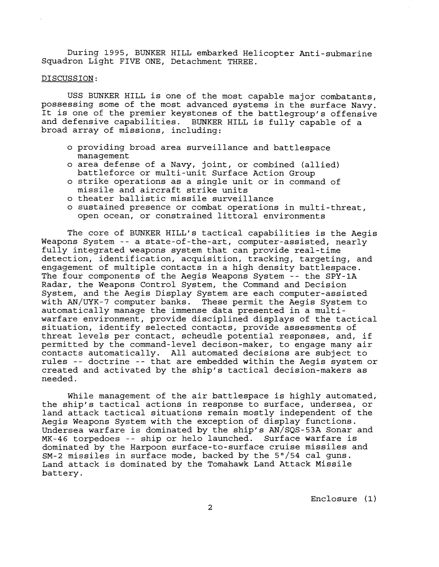During 1995, BUNKER HILL embarked Helicopter Anti-submarine Squadron Light FIVE ONE, Detachment THREE.

# DISCUSSION:

USS BUNKER HILL is one of the most capable major combatants, possessing some of the most advanced systems in the surface Navy. It is one of the premier keystones of the battlegroup's offensive and defensive capabilities. BUNKER HILL is fully capable of a broad array of missions, including:

- o providing broad area surveillance and battlespace management
- o area defense of a Navy, joint, or combined (allied) battleforce or multi-unit Surface Action Group
- o strike operations as a single unit or in command of missile and aircraft strike units
- o theater ballistic missile surveillance
- o sustained presence or combat operations in multi-threat, open ocean, or constrained littoral environments

The core of BUNKER HILL'S tactical capabilities is the Aegis Weapons System -- a state-of-the-art, computer-assisted, nearly fully integrated weapons system that can provide real-time detection, identification, acquisition, tracking, targeting, and engagement of multiple contacts in a high density battlespace. The four components of the Aegis Weapons System -- the SPY-1A Radar, the Weapons Control System, the Command and Decision System, and the Aegis Display System are each computer-assisted with AN/WK-7 computer banks. These permit the Aegis System to automatically manage the immense data presented in a multiwarfare environment, provide disciplined displays of the tactical situation, identify selected contacts, provide assessments of threat levels per contact, scheudle potential responses, and, if permitted by the command-level decison-maker, to engage many air contacts automatically. All automated decisions are subject to rules -- doctrine -- that are embedded within the Aegis system or created and activated by the ship's tactical decision-makers as needed.

While management of the air battlespace is highly automated, the ship's tactical actions in response to surface, undersea, or land attack tactical situations remain mostly independent of the Aegis Weapons System with the exception of display functions. Undersea warfare is dominated by the ship's AN/SQS-53A Sonar and MK-46 torpedoes -- ship or helo launched. Surface warfare is dominated by the Harpoon surface-to-surface cruise missiles and SM-2 missiles in surface mode, backed by the 5"/54 cal guns. Land attack is dominated by the Tomahawk Land Attack Missile battery.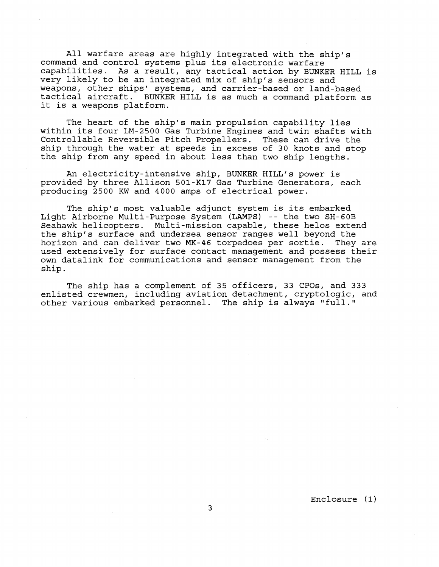All warfare areas are highly integrated with the ship's command and control systems plus its electronic warfare capabilities. As a result, any tactical action by BUNKER HILL is very likely to be an integrated mix of ship's sensors and weapons, other ships' systems, and carrier-based or land-based tactical aircraft. BUNKER HILL is as much a command platform as it is a weapons platform.

The heart of the ship's main propulsion capability lies within its four LM-2500 Gas Turbine Engines and twin shafts with Controllable Reversible Pitch Propellers. These can drive the ship through the water at speeds in excess of 30 knots and stop the ship from any speed in about less than two ship lengths.

An electricity-intensive ship, BUNKER HILL'S power is provided by three Allison 501-K17 Gas Turbine Generators, each producing 2500 KW and 4000 amps of electrical power.

The ship's most valuable adjunct system is its embarked Light Airborne Multi-Purpose System (LAMPS) -- the two SH-GOB Seahawk helicopters. Multi-mission capable, these helos extend the ship's surface and undersea sensor ranges well beyond the horizon and can deliver two MK-46 torpedoes per sortie. They are used extensively for surface contact management and possess their own datalink for communications and sensor management from the ship.

The ship has a complement of 35 officers, 33 CPOs, and 333 enlisted crewmen, including aviation detachment, cryptologic, and other various embarked personnel. The ship is always "full."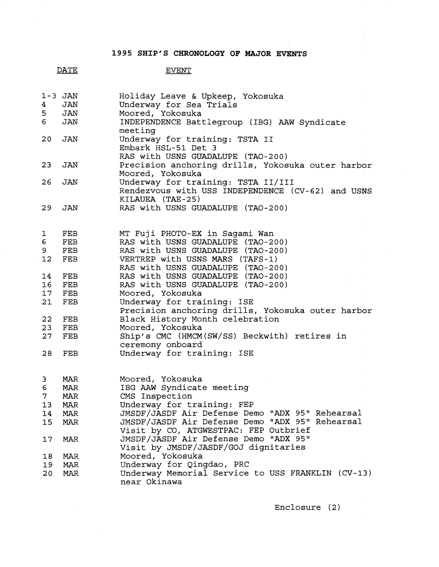**1995 SHIP'S CHRONOLOGY OF MAJOR EVENTS** 

# DATE

 $\mathcal{L}_{\text{eff}}$ 

 $\bar{\gamma}$ 

# **EVENT**

|                  | $1 - 3$ JAN | Holiday Leave & Upkeep, Yokosuka                                  |
|------------------|-------------|-------------------------------------------------------------------|
| $4 -$            | JAN         | Underway for Sea Trials                                           |
| 5 <sub>1</sub>   | JAN         | Moored, Yokosuka                                                  |
| $6 \overline{6}$ | JAN         | INDEPENDENCE Battlegroup (IBG) AAW Syndicate<br>meeting           |
| 20               | JAN         | Underway for training: TSTA II<br>Embark HSL-51 Det 3             |
|                  |             | RAS with USNS GUADALUPE (TAO-200)                                 |
| 23               | JAN         | Precision anchoring drills, Yokosuka outer harbor                 |
|                  |             | Moored, Yokosuka                                                  |
| 26               | JAN         | Underway for training: TSTA II/III                                |
|                  |             | Rendezvous with USS INDEPENDENCE (CV-62) and USNS                 |
|                  |             | KILAUEA (TAE-25)                                                  |
| 29               | JAN         | RAS with USNS GUADALUPE (TAO-200)                                 |
|                  |             |                                                                   |
|                  |             |                                                                   |
| 1                | FEB         | MT Fuji PHOTO-EX in Sagami Wan                                    |
| 6                | FEB         | RAS with USNS GUADALUPE (TAO-200)                                 |
| 9                | FEB         | RAS with USNS GUADALUPE (TAO-200)                                 |
| 12               | FEB         | VERTREP with USNS MARS (TAFS-1)                                   |
|                  |             | RAS with USNS GUADALUPE (TAO-200)                                 |
| 14               | FEB         | RAS with USNS GUADALUPE (TAO-200)                                 |
| 16               | FEB         | RAS with USNS GUADALUPE (TAO-200)                                 |
| 17               | FEB         | Moored, Yokosuka                                                  |
| 21               | FEB         | Underway for training: ISE                                        |
|                  |             | Precision anchoring drills, Yokosuka outer harbor                 |
| 22<br>23         | FEB         | Black History Month celebration<br>Moored, Yokosuka               |
| 27               | FEB<br>FEB  | Ship's CMC (HMCM(SW/SS) Beckwith) retires in                      |
|                  |             | ceremony onboard                                                  |
| 28               | FEB         | Underway for training: ISE                                        |
|                  |             |                                                                   |
| 3                | MAR         | Moored, Yokosuka                                                  |
| 6                | MAR         | IBG AAW Syndicate meeting                                         |
| 7 <sup>1</sup>   | MAR         | CMS Inspection                                                    |
| 13               | MAR         | Underway for training: FEP                                        |
| 14               | MAR         | JMSDF/JASDF Air Defense Demo "ADX 95" Rehearsal                   |
| 15               | MAR         | JMSDF/JASDF Air Defense Demo "ADX 95" Rehearsal                   |
|                  |             | Visit by CO, ATGWESTPAC: FEP Outbrief                             |
| 17               | MAR         | JMSDF/JASDF Air Defense Demo "ADX 95"                             |
|                  |             | Visit by JMSDF/JASDF/GOJ dignitaries                              |
| 18               | MAR         | Moored, Yokosuka                                                  |
| 19               | MAR         | Underway for Qingdao, PRC                                         |
| 20               | MAR         | Underway Memorial Service to USS FRANKLIN (CV-13)<br>near Okinawa |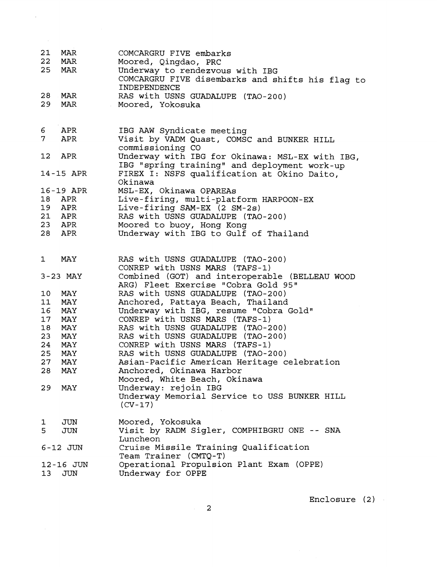| 21<br>22     | MAR<br>MAR | COMCARGRU FIVE embarks<br>Moored, Qingdao, PRC            |
|--------------|------------|-----------------------------------------------------------|
| 25           | MAR        | Underway to rendezvous with IBG                           |
|              |            | COMCARGRU FIVE disembarks and shifts his flag to          |
|              |            | INDEPENDENCE                                              |
| 28           | MAR        | RAS with USNS GUADALUPE (TAO-200)                         |
| 29           | MAR        | Moored, Yokosuka                                          |
|              |            |                                                           |
| 6            | APR        | IBG AAW Syndicate meeting                                 |
| 7            | APR        | Visit by VADM Quast, COMSC and BUNKER HILL                |
|              |            | commissioning CO                                          |
| 12           | APR        | Underway with IBG for Okinawa: MSL-EX with IBG,           |
|              |            | IBG "spring training" and deployment work-up              |
|              | 14-15 APR  | FIREX I: NSFS qualification at Okino Daito,               |
|              |            | Okinawa                                                   |
|              | 16-19 APR  | MSL-EX, Okinawa OPAREAs                                   |
| 18           | APR        | Live-firing, multi-platform HARPOON-EX                    |
| 19           | APR        | Live-firing SAM-EX (2 SM-2s)                              |
| 21           | APR        | RAS with USNS GUADALUPE (TAO-200)                         |
| 23           | APR        | Moored to buoy, Hong Kong                                 |
| 28           | APR        | Underway with IBG to Gulf of Thailand                     |
|              |            |                                                           |
| 1            | MAY        | RAS with USNS GUADALUPE (TAO-200)                         |
|              |            | CONREP with USNS MARS (TAFS-1)                            |
|              | $3-23$ MAY | Combined (GOT) and interoperable (BELLEAU WOOD            |
|              |            | ARG) Fleet Exercise "Cobra Gold 95"                       |
| 10           | MAY        | RAS with USNS GUADALUPE (TAO-200)                         |
| 11           | MAY        | Anchored, Pattaya Beach, Thailand                         |
| 16           | MAY        | Underway with IBG, resume "Cobra Gold"                    |
| 17           | MAY        | CONREP with USNS MARS (TAFS-1)                            |
| 18           | MAY        | RAS with USNS GUADALUPE (TAO-200)                         |
| 23           | MAY        | RAS with USNS GUADALUPE (TAO-200)                         |
| 24           | MAY        | CONREP with USNS MARS (TAFS-1)                            |
| 25           | MAY        | RAS with USNS GUADALUPE (TAO-200)                         |
| 27           | MAY        | Asian-Pacific American Heritage celebration               |
| 28           | MAY        | Anchored, Okinawa Harbor                                  |
|              |            | Moored, White Beach, Okinawa                              |
| 29           | MAY        | Underway: rejoin IBG                                      |
|              |            | Underway Memorial Service to USS BUNKER HILL<br>$(CV-17)$ |
| ı            | JUN        | Moored, Yokosuka                                          |
| 5            | JUN        | Visit by RADM Sigler, COMPHIBGRU ONE -- SNA               |
|              |            | Luncheon                                                  |
| $6 - 12$ JUN |            | Cruise Missile Training Qualification                     |
|              |            | Team Trainer (CMTQ-T)                                     |
|              | 12-16 JUN  | Operational Propulsion Plant Exam (OPPE)                  |
| 13           | JUN        | Underway for OPPE                                         |

 $\sim 10^{-10}$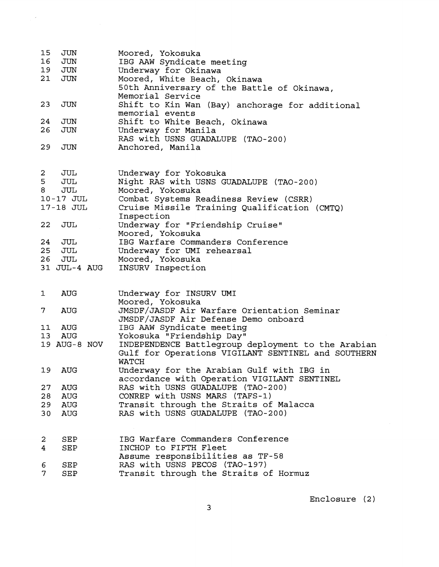| 15                      | JUN          | Moored, Yokosuka                                   |
|-------------------------|--------------|----------------------------------------------------|
| 16                      | JUN          | IBG AAW Syndicate meeting                          |
| 19                      | JUN          | Underway for Okinawa                               |
| 21                      | JUN          | Moored, White Beach, Okinawa                       |
|                         |              | 50th Anniversary of the Battle of Okinawa,         |
|                         |              | Memorial Service                                   |
| 23                      | JUN          | Shift to Kin Wan (Bay) anchorage for additional    |
|                         |              | memorial events                                    |
| 24                      | JUN          | Shift to White Beach, Okinawa                      |
| 26                      | JUN          | Underway for Manila                                |
|                         |              | RAS with USNS GUADALUPE (TAO-200)                  |
| 29                      | JUN          | Anchored, Manila                                   |
|                         |              |                                                    |
| $\overline{\mathbf{c}}$ | JUL          | Underway for Yokosuka                              |
| 5                       | JUL          |                                                    |
| 8                       |              | Night RAS with USNS GUADALUPE (TAO-200)            |
|                         | JUL          | Moored, Yokosuka                                   |
|                         | 10-17 JUL    | Combat Systems Readiness Review (CSRR)             |
|                         | 17-18 JUL    | Cruise Missile Training Qualification (CMTQ)       |
|                         |              | Inspection                                         |
| 22                      | JUL          | Underway for "Friendship Cruise"                   |
|                         |              | Moored, Yokosuka                                   |
| 24                      | JUL          | IBG Warfare Commanders Conference                  |
| 25                      | JUL          | Underway for UMI rehearsal                         |
| 26                      | JUL          | Moored, Yokosuka                                   |
|                         | 31 JUL-4 AUG | INSURV Inspection                                  |
|                         |              |                                                    |
| 1                       | AUG          | Underway for INSURV UMI                            |
|                         |              | Moored, Yokosuka                                   |
| 7.                      | AUG          | JMSDF/JASDF Air Warfare Orientation Seminar        |
|                         |              | JMSDF/JASDF Air Defense Demo onboard               |
| 11                      | AUG          | IBG AAW Syndicate meeting                          |
| 13                      | <b>AUG</b>   | Yokosuka "Friendship Day"                          |
|                         | 19 AUG-8 NOV | INDEPENDENCE Battlegroup deployment to the Arabian |
|                         |              | Gulf for Operations VIGILANT SENTINEL and SOUTHERN |
|                         |              | <b>WATCH</b>                                       |
| 19                      | <b>AUG</b>   | Underway for the Arabian Gulf with IBG in          |
|                         |              | accordance with Operation VIGILANT SENTINEL        |
| 27                      | AUG          | RAS with USNS GUADALUPE (TAO-200)                  |
|                         |              | CONREP with USNS MARS (TAFS-1)                     |
| 28                      | AUG          |                                                    |
| 29                      | AUG          | Transit through the Straits of Malacca             |
| 30                      | <b>AUG</b>   | RAS with USNS GUADALUPE (TAO-200)                  |
|                         |              |                                                    |
| 2                       | SEP          | IBG Warfare Commanders Conference                  |
| 4                       | SEP          | INCHOP to FIFTH Fleet                              |
|                         |              | Assume responsibilities as TF-58                   |
| 6                       | SEP          | RAS with USNS PECOS (TAO-197)                      |
| 7                       | SEP          | Transit through the Straits of Hormuz              |

 $\frac{1}{2} \sum_{i=1}^{n} \frac{1}{2} \sum_{j=1}^{n} \frac{1}{2} \sum_{j=1}^{n} \frac{1}{2} \sum_{j=1}^{n} \frac{1}{2} \sum_{j=1}^{n} \frac{1}{2} \sum_{j=1}^{n} \frac{1}{2} \sum_{j=1}^{n} \frac{1}{2} \sum_{j=1}^{n} \frac{1}{2} \sum_{j=1}^{n} \frac{1}{2} \sum_{j=1}^{n} \frac{1}{2} \sum_{j=1}^{n} \frac{1}{2} \sum_{j=1}^{n} \frac{1}{2} \sum_{j=1}^{n$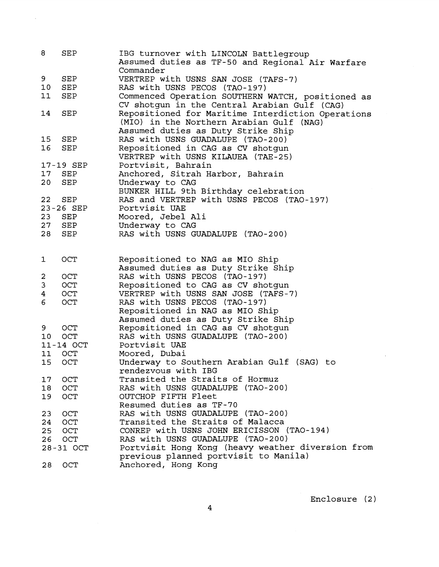| 8        | SEP                                  | IBG turnover with LINCOLN Battlegroup                                |  |
|----------|--------------------------------------|----------------------------------------------------------------------|--|
|          |                                      | Assumed duties as TF-50 and Regional Air Warfare<br>Commander        |  |
| 9        | $\operatorname{SEP}$                 | VERTREP with USNS SAN JOSE (TAFS-7)                                  |  |
| 10       | SEP                                  | RAS with USNS PECOS (TAO-197)                                        |  |
| 11       | SEP                                  | Commenced Operation SOUTHERN WATCH, positioned as                    |  |
|          |                                      | CV shotgun in the Central Arabian Gulf (CAG)                         |  |
| 14       | SEP                                  | Repositioned for Maritime Interdiction Operations                    |  |
|          |                                      | (MIO) in the Northern Arabian Gulf (NAG)                             |  |
|          |                                      | Assumed duties as Duty Strike Ship                                   |  |
| 15       | $\mathtt{SEP}$                       | RAS with USNS GUADALUPE (TAO-200)                                    |  |
| 16       | <b>SEP</b>                           | Repositioned in CAG as CV shotgun                                    |  |
|          |                                      | VERTREP with USNS KILAUEA (TAE-25)                                   |  |
|          | 17-19 SEP                            | Portvisit, Bahrain                                                   |  |
| $17 \,$  | SEP                                  | Anchored, Sitrah Harbor, Bahrain                                     |  |
| 20       | SEP                                  | Underway to CAG                                                      |  |
|          |                                      | BUNKER HILL 9th Birthday celebration                                 |  |
| 22       | <b>SEP</b>                           | RAS and VERTREP with USNS PECOS (TAO-197)                            |  |
|          | 23-26 SEP                            | Portvisit UAE                                                        |  |
| 23       | SEP                                  | Moored, Jebel Ali                                                    |  |
| 27       | SEP                                  | Underway to CAG                                                      |  |
| 28       | $\operatorname{SEP}$                 | RAS with USNS GUADALUPE (TAO-200)                                    |  |
|          |                                      |                                                                      |  |
|          |                                      |                                                                      |  |
| 1        | OCT                                  | Repositioned to NAG as MIO Ship                                      |  |
|          |                                      | Assumed duties as Duty Strike Ship                                   |  |
| 2        | OCT                                  | RAS with USNS PECOS (TAO-197)                                        |  |
| 3        | OCT                                  | Repositioned to CAG as CV shotgun                                    |  |
| 4        | OCT                                  | VERTREP with USNS SAN JOSE (TAFS-7)                                  |  |
| 6        | OCT<br>RAS with USNS PECOS (TAO-197) |                                                                      |  |
|          |                                      | Repositioned in NAG as MIO Ship                                      |  |
|          |                                      | Assumed duties as Duty Strike Ship                                   |  |
| 9        | OCT                                  | Repositioned in CAG as CV shotgun                                    |  |
| 10       | OCT                                  | RAS with USNS GUADALUPE (TAO-200)                                    |  |
|          | 11-14 OCT                            | Portvisit UAE                                                        |  |
| 11       | OCT                                  | Moored, Dubai                                                        |  |
| 15       | OCT                                  | Underway to Southern Arabian Gulf (SAG) to                           |  |
|          |                                      | rendezvous with IBG                                                  |  |
| 17       | OCT                                  | Transited the Straits of Hormuz<br>RAS with USNS GUADALUPE (TAO-200) |  |
| 18       | OCT                                  | OUTCHOP FIFTH Fleet                                                  |  |
| 19       | <b>OCT</b>                           | Resumed duties as TF-70                                              |  |
| 23       | OCT                                  | RAS with USNS GUADALUPE (TAO-200)                                    |  |
|          | <b>OCT</b>                           | Transited the Straits of Malacca                                     |  |
| 24<br>25 | OCT                                  | CONREP with USNS JOHN ERICISSON (TAO-194)                            |  |
| 26       | OCT                                  | RAS with USNS GUADALUPE (TAO-200)                                    |  |
|          | 28-31 OCT                            | Portvisit Hong Kong (heavy weather diversion from                    |  |
|          |                                      | previous planned portvisit to Manila)                                |  |
| 28       | OCT                                  | Anchored, Hong Kong                                                  |  |
|          |                                      |                                                                      |  |

 $\sim 10^6$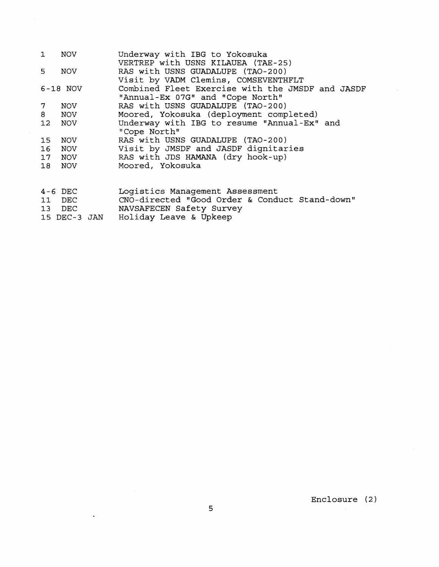| $\mathbf{1}$    | <b>NOV</b>   | Underway with IBG to Yokosuka                    |
|-----------------|--------------|--------------------------------------------------|
|                 |              | VERTREP with USNS KILAUEA (TAE-25)               |
| 5.              | NOV          | RAS with USNS GUADALUPE (TAO-200)                |
|                 |              | Visit by VADM Clemins, COMSEVENTHFLT             |
|                 | 6-18 NOV     | Combined Fleet Exercise with the JMSDF and JASDF |
|                 |              | "Annual-Ex 07G" and "Cope North"                 |
| 7               | NOV          | RAS with USNS GUADALUPE (TAO-200)                |
| 8               | NOV          | Moored, Yokosuka (deployment completed)          |
| 12 <sup>°</sup> | NOV          | Underway with IBG to resume "Annual-Ex" and      |
|                 |              | "Cope North"                                     |
| 15              | NOV          | RAS with USNS GUADALUPE (TAO-200)                |
| 16              | NOV          | Visit by JMSDF and JASDF dignitaries             |
| 17 <sub>1</sub> | NOV          | RAS with JDS HAMANA (dry hook-up)                |
| 18              | NOV          | Moored, Yokosuka                                 |
|                 |              |                                                  |
|                 |              |                                                  |
|                 | $4-6$ DEC    | Logistics Management Assessment                  |
|                 | 11 DEC       | CNO-directed "Good Order & Conduct Stand-down"   |
|                 | 13 DEC       | NAVSAFECEN Safety Survey                         |
|                 | 15 DEC-3 JAN | Holiday Leave & Upkeep                           |

 $\sim$ 

Enclosure (2)

 $\sim$ 

 $\ddot{\phantom{0}}$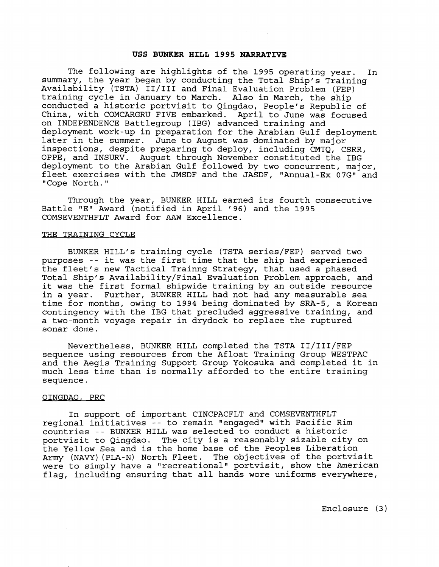#### **USS BUNKER HILL 1995 NARRATIVE**

The following are highlights of the 1995 operating year. In summary, the year began by conducting the Total Ship's Training Availability (TSTA) II/III and Final Evaluation Problem (FEP) training cycle in January to March. Also in March, the ship conducted a historic portvisit to Qingdao, People's Republic of China, with COMCARGRU FIVE embarked. April to June was focused on INDEPENDENCE Battlegroup (IBG) advanced training and deployment work-up in preparation for the Arabian Gulf deployment later in the summer. June to August was dominated by major inspections, despite preparing to deploy, including CMTQ, CSRR, OPPE, and INSURV. August through November constituted the IBG deployment to the Arabian Gulf followed by two concurrent, major, fleet exercises with the JMSDF and the JASDF, "Annual-Ex 07G" and "Cope North."

Through the year, BUNKER HILL earned its fourth consecutive Battle "E" Award (notified in April '96) and the 1995 COMSEVENTHFLT Award for AAW Excellence.

#### THE TRAINING CYCLE

BUNKER HILL'S training cycle (TSTA series/FEP) served two purposes -- it was the first time that the ship had experienced the fleet's new Tactical Trainng Strategy, that used a phased Total Ship's Availability/Final Evaluation Problem approach, and it was the first formal shipwide training by an outside resource in a year. Further, BUNKER HILL had not had any measurable sea time for months, owing to 1994 being dominated by SRA-5, a Korean contingency with the IBG that precluded aggressive training, and a two-month voyage repair in drydock to replace the ruptured sonar dome.

Nevertheless, BUNKER HILL completed the TSTA II/III/FEP sequence using resources from the Afloat Training Group WESTPAC and the Aegis Training Support Group Yokosuka and completed it in much less time than is normally afforded to the entire training sequence.

## gINGDA0, PRC

In support of important CINCPACFLT and COMSEVENTHFLT regional initiatives -- to remain "engaged" with Pacific Rim countries -- BUNKER HILL was selected to conduct a historic portvisit to Qingdao. The city is a reasonably sizable city on the Yellow Sea and is the home base of the Peoples Liberation Army (NAVY) (PLA-N) North Fleet. The objectives of the portvisit were to simply have a "recreational" portvisit, show the American flag, including ensuring that all hands wore uniforms everywhere,

Enclosure (3 )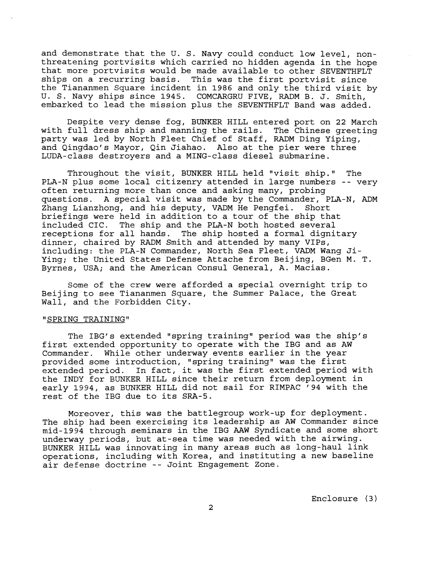and demonstrate that the U. S. Navy could conduct low level, nonthreatening portvisits which carried no hidden agenda in the hope that more portvisits would be made available to other SEVENTHFLT ships on a recurring basis. This was the first portvisit since the Tiananmen Square incident in 1986 and only the third visit by U. S. Navy ships since 1945. COMCARGRU FIVE, RADM B. J. Smith, embarked to lead the mission plus the SEVENTHFLT Band was added.

Despite very dense fog, BUNKER HILL entered port on 22 March with full dress ship and manning the rails. The Chinese greeting party was led by North Fleet Chief of Staff, RADM Ding Yiping, and Qingdao's Mayor, Qin Jiahao. Also at the pier were three LUDA-class destroyers and a MING-class diesel submarine.

Throughout the visit, BUNKER HILL held "visit ship." The PLA-N plus some local citizenry attended in large numbers -- very often returning more than once and asking many, probing questions. A special visit was made by the Commander, PLA-N, ADM Zhang Lianzhong, and his deputy, VADM He Pengfei. Short briefings were held in addition to a tour of the ship that included CIC. The ship and the PLA-N both hosted several receptions for all hands. The ship hosted a formal dignitary dinner, chaired by RADM Smith and attended by many VIPs, including: the PLA-N Commander, North Sea Fleet, VADM Wang Ji-Ying; the United States Defense Attache from Beijing, BGen M. T. Byrnes, USA; and the American Consul General, A. Macias.

Some of the crew were afforded a special overnight trip to Beijing to see Tiananmen Square, the Summer Palace, the Great Wall, and the Forbidden City.

# "SPRING TRAINING"

The IBG's extended "spring training" period was the ship's first extended opportunity to operate with the IBG and as AW Commander. While other underway events earlier in the year provided some introduction, "spring training" was the first extended period. In fact, it was the first extended period with the INDY for BUNKER HILL since their return from deployment in early 1994, as BUNKER HILL did not sail for RIMPAC '94 with the rest of the IBG due to its SRA-5.

Moreover, this was the battlegroup work-up for deployment. The ship had been exercising its leadership as AW Commander since mid-1994 through seminars in the IBG AAW Syndicate and some short underway periods, but at-sea time was needed with the airwing. BUNKER HILL was innovating in many areas such as long-haul link operations, including with Korea, and instituting a new baseline air defense doctrine -- Joint Engagement Zone.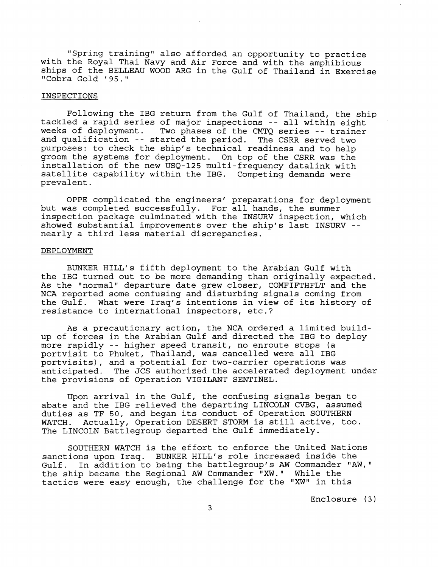"Spring training" also afforded an opportunity to practice with the Royal Thai Navy and Air Force and with the amphibious ships of the BELLEAU WOOD ARG in the Gulf of Thailand in Exercise "Cobra Gold '95."

## INSPECTIONS

Following the IBG return from the Gulf of Thailand, the ship tackled a rapid series of major inspections -- all within eight Two phases of the CMTQ series -- trainer and qualification -- started the period. The CSRR served two purposes: to check the ship's technical readiness and to help groom the systems for deployment. On top of the CSRR was the installation of the new USQ-125 multi-frequency datalink with satellite capability within the IBG. Competing demands were prevalent.

OPPE complicated the engineers' preparations for deployment but was completed successfully. For all hands, the summer inspection package culminated with the INSURV inspection, which showed substantial improvements over the ship's last INSURV - nearly a third less material discrepancies.

## DEPLOYMENT

BUNKER HILL'S fifth deployment to the Arabian Gulf with the IBG turned out to be more demanding than originally expected. As the "normal" departure date grew closer, COMFIFTHFLT and the NCA reported some confusing and disturbing signals coming from the Gulf. What were Iraq's intentions in view of its history of resistance to international inspectors, etc.?

As a precautionary action, the NCA ordered a limited buildup of forces in the Arabian Gulf and directed the IBG to deploy more rapidly -- higher speed transit, no enroute stops (a portvisit to Phuket, Thailand, was cancelled were all IBG portvisits), and a potential for two-carrier operations was anticipated. The JCS authorized the accelerated deployment under the provisions of Operation VIGILANT SENTINEL.

Upon arrival in the Gulf, the confusing signals began to abate and the IBG relieved the departing LINCOLN CVBG, assumed duties as TF 50, and began its conduct of Operation SOUTHERN WATCH. Actually, Operation DESERT STORM is still active, too. The LINCOLN Battlegroup departed the Gulf immediately.

SOUTHERN WATCH is the effort to enforce the United Nations sanctions upon Iraq. BUNKER HILL'S role increased inside the Gulf. In addition to being the battlegroup's AW Commander "AW," the ship became the Regional AW Commander "XW." While the tactics were easy enough, the challenge for the "XW" in this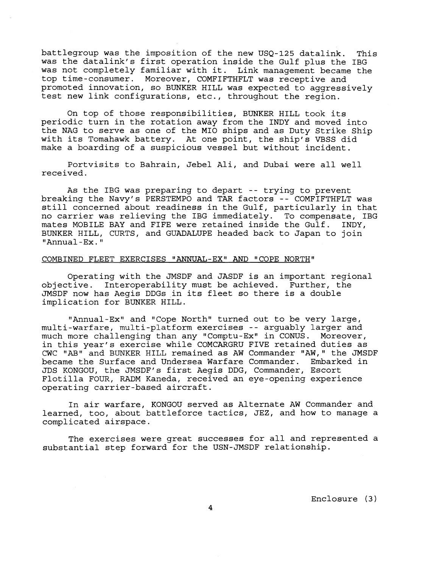battlegroup was the imposition of the new USQ-125 datalink. This was the datalink's first operation inside the Gulf plus the IBG was not completely familiar with it. Link management became the top time-consumer. Moreover, COMFIFTHFLT was receptive and promoted innovation, so BUNKER HILL was expected to aggressively test new link configurations, etc., throughout the region.

On top of those responsibilities, BUNKER HILL took its periodic turn in the rotation away from the INDY and moved into the NAG to serve as one of the MI0 ships and as Duty Strike Ship with its Tomahawk battery. At one point, the ship's VBSS did make a boarding of a suspicious vessel but without incident.

Portvisits to Bahrain, Jebel Ali, and Dubai were all well received.

As the IBG was preparing to depart -- trying to prevent breaking the Navy's PERSTEMPO and TAR factors -- COMFIFTHFLT was still concerned about readiness in the Gulf, particularly in that no carrier was relieving the IBG immediately. To compensate, IBG mates MOBILE BAY and FIFE were retained inside the Gulf. INDY, BUNKER HILL, CURTS, and GUADALUPE headed back to Japan to join "Annual -Ex. "

# COMBINED FLEET EXERCISES "ANNUAL-EX" AND "COPE NORTH"

Operating with the JMSDF and JASDF is an important regional objective. Interoperability must be achieved. Further, the JMSDF now has Aegis DDGsin its fleet so there is a double implication for BUNKER HILL.

"Annual-Ex" and "Cope North" turned out to be very large, multi-warfare, multi-platform exercises -- arguably larger and much more challenging than any "Comptu-Ex" in CONUS. Moreover, in this year's exercise while COMCARGRU FIVE retained duties as CWC "AB" and BUNKER HILL remained as AW Commander "AW," the JMSDF became the Surface and Undersea Warfare Commander. Embarked in JDS KONGOU, the JMSDF1s first Aegis DDG, Commander, Escort Flotilla FOUR, RADM Kaneda, received an eye-opening experience operating carrier-based aircraft.

In air warfare, KONGOU served as Alternate AW Commander and learned, too, about battleforce tactics, JEZ, and how to manage a complicated airspace.

The exercises were great successes for all and represented a substantial step forward for the USN-JMSDF relationship.

Enclosure **(3** )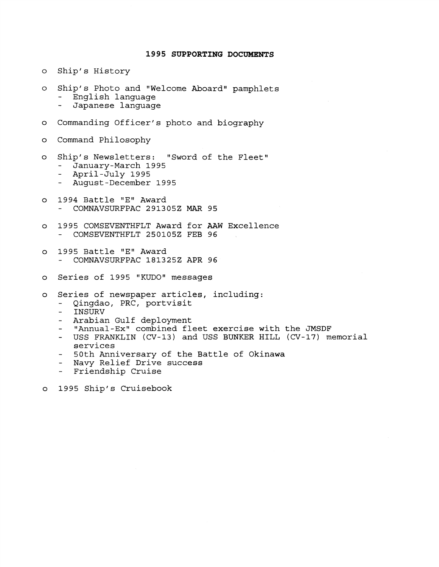# **1995 SUPPORTING DOCUMENTS**

- Ship' s History  $\circ$
- Ship's Photo and "Welcome Aboard" pamphlets<br>- English language<br>- Japanese language  $\circ$ 
	-
	-
- Commanding Officer's photo and biography  $\circ$
- Command Philosophy  $\circ$
- Ship's Newsletters: "Sword of the Fleet"<br>- January-March 1995<br>- April-July 1995<br>- August-December 1995  $\circ$ 
	-
	-
	-
- o 1994 Battle "E" Award<br>- COMNAVSURFPAC 291305Z MAR 95
- 1995 COMSEVENTHFLT Award for AAW Excellence<br>- COMSEVENTHFLT 250105Z FEB 96  $\circ$
- 1995 Battle "E" Award<br>- COMNAVSURFPAC 181325Z APR 96  $\circ$
- Series of 1995 "KUDO" messages  $\circ$
- $\circ$ 
	-
	-
	-
	-
- Series of newspaper articles, including:<br>- Qingdao, PRC, portvisit<br>- INSURV<br>- Arabian Gulf deployment<br>- "Annual-Ex" combined fleet exercise with the JMSDF<br>- USS FRANKLIN (CV-13) and USS BUNKER HILL (CV-17) memorial
	- services<br>- 50th Anniversary of the Battle of Okinawa<br>- Navy Relief Drive success<br>- Friendship Cruise
	-
	-
- 1995 Ship's Cruisebook  $\circ$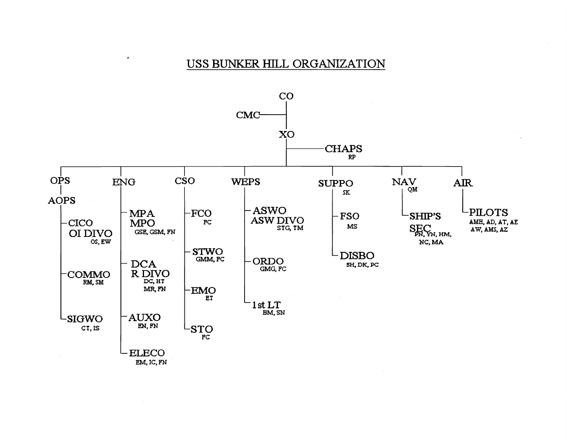# USS BUNKER HILL ORGANIZATION

 $\bullet$ 

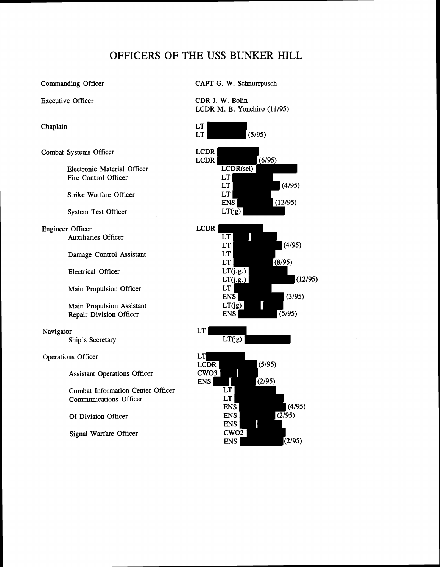# OFFICERS OF **THE USS BUNKER** HILL

Executive Officer

Chaplain

Combat Systems Officer

Electronic Material Officer Fire Control Officer

Strike Warfare Officer

System Test Officer

Engineer Officer Auxiliaries Officer

Damage Control Assistant

Electrical Officer

Main Propulsion Officer

Main Propulsion Assistant Repair Division Officer

Navigator Ship's Secretary

Operations Officer LT

Assistant Operations Officer CWO3

Combat Information Center Officer<br>
Communications Officer LT Communications Officer LT ENS

# Commanding Officer CAPT G. W. Schnurrpusch

CDR J. W. Bolin LCDR M. B. Yonehiro  $(11/95)$ 

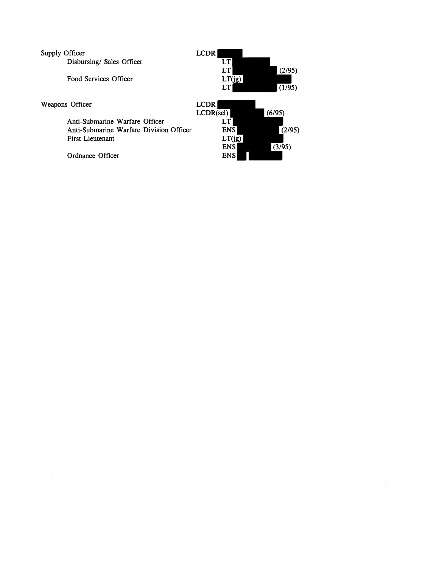| Supply Officer                          | <b>LCDR</b> |        |
|-----------------------------------------|-------------|--------|
| Disbursing/ Sales Officer               | LT          |        |
|                                         | LT          | (2/95) |
| Food Services Officer                   | LT(ig)      |        |
|                                         | LT          | (1/95) |
| Weapons Officer                         | <b>LCDR</b> |        |
|                                         | LCDR(self)  | (6/95) |
| Anti-Submarine Warfare Officer          |             |        |
| Anti-Submarine Warfare Division Officer | <b>ENS</b>  | (2/95) |
| <b>First Lieutenant</b>                 | LT(ig)      |        |
|                                         | <b>ENS</b>  | (3/95) |
| Ordnance Officer                        | ENS         |        |

 $\label{eq:2.1} \frac{1}{\sqrt{2}}\left(\frac{1}{\sqrt{2}}\right)^{2} \left(\frac{1}{\sqrt{2}}\right)^{2} \left(\frac{1}{\sqrt{2}}\right)^{2} \left(\frac{1}{\sqrt{2}}\right)^{2} \left(\frac{1}{\sqrt{2}}\right)^{2} \left(\frac{1}{\sqrt{2}}\right)^{2} \left(\frac{1}{\sqrt{2}}\right)^{2} \left(\frac{1}{\sqrt{2}}\right)^{2} \left(\frac{1}{\sqrt{2}}\right)^{2} \left(\frac{1}{\sqrt{2}}\right)^{2} \left(\frac{1}{\sqrt{2}}\right)^{2} \left(\$ 

 $\label{eq:2.1} \frac{1}{\sqrt{2}}\int_{\mathbb{R}^3}\frac{1}{\sqrt{2}}\left(\frac{1}{\sqrt{2}}\right)^2\left(\frac{1}{\sqrt{2}}\right)^2\left(\frac{1}{\sqrt{2}}\right)^2\left(\frac{1}{\sqrt{2}}\right)^2\left(\frac{1}{\sqrt{2}}\right)^2.$